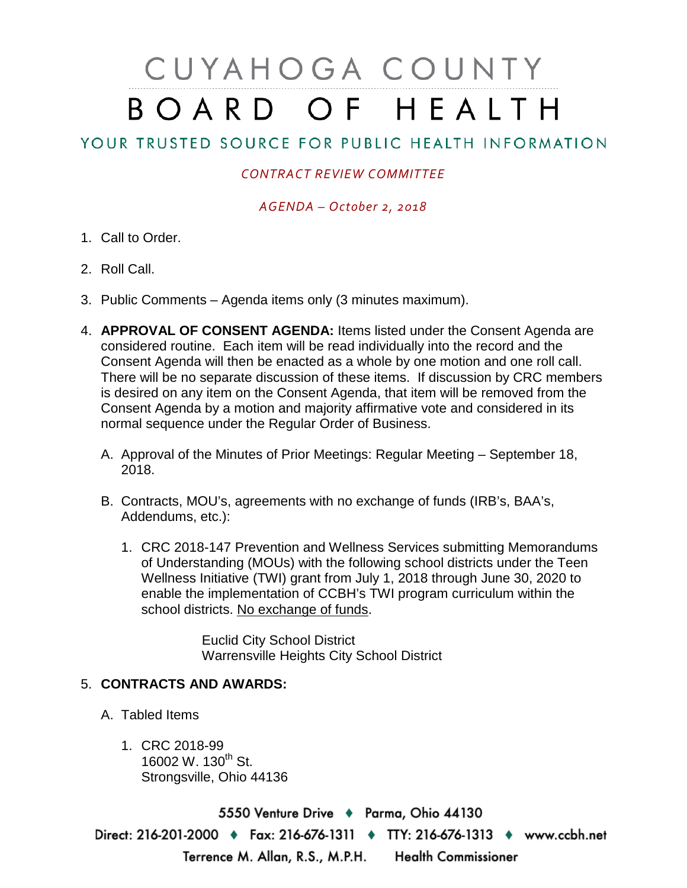# CUYAHOGA COUNTY BOARD OF HEALTH

# YOUR TRUSTED SOURCE FOR PUBLIC HEALTH INFORMATION

## *CONTRACT REVIEW COMMITTEE*

### *AGENDA – October 2, 2018*

- 1. Call to Order.
- 2. Roll Call.
- 3. Public Comments Agenda items only (3 minutes maximum).
- 4. **APPROVAL OF CONSENT AGENDA:** Items listed under the Consent Agenda are considered routine. Each item will be read individually into the record and the Consent Agenda will then be enacted as a whole by one motion and one roll call. There will be no separate discussion of these items. If discussion by CRC members is desired on any item on the Consent Agenda, that item will be removed from the Consent Agenda by a motion and majority affirmative vote and considered in its normal sequence under the Regular Order of Business.
	- A. Approval of the Minutes of Prior Meetings: Regular Meeting September 18, 2018.
	- B. Contracts, MOU's, agreements with no exchange of funds (IRB's, BAA's, Addendums, etc.):
		- 1. CRC 2018-147 Prevention and Wellness Services submitting Memorandums of Understanding (MOUs) with the following school districts under the Teen Wellness Initiative (TWI) grant from July 1, 2018 through June 30, 2020 to enable the implementation of CCBH's TWI program curriculum within the school districts. No exchange of funds.

Euclid City School District Warrensville Heights City School District

#### 5. **CONTRACTS AND AWARDS:**

- A. Tabled Items
	- 1. CRC 2018-99 16002 W. 130<sup>th</sup> St. Strongsville, Ohio 44136

5550 Venture Drive + Parma, Ohio 44130 Direct: 216-201-2000 ♦ Fax: 216-676-1311 ♦ TTY: 216-676-1313 ♦ www.ccbh.net Terrence M. Allan, R.S., M.P.H. Health Commissioner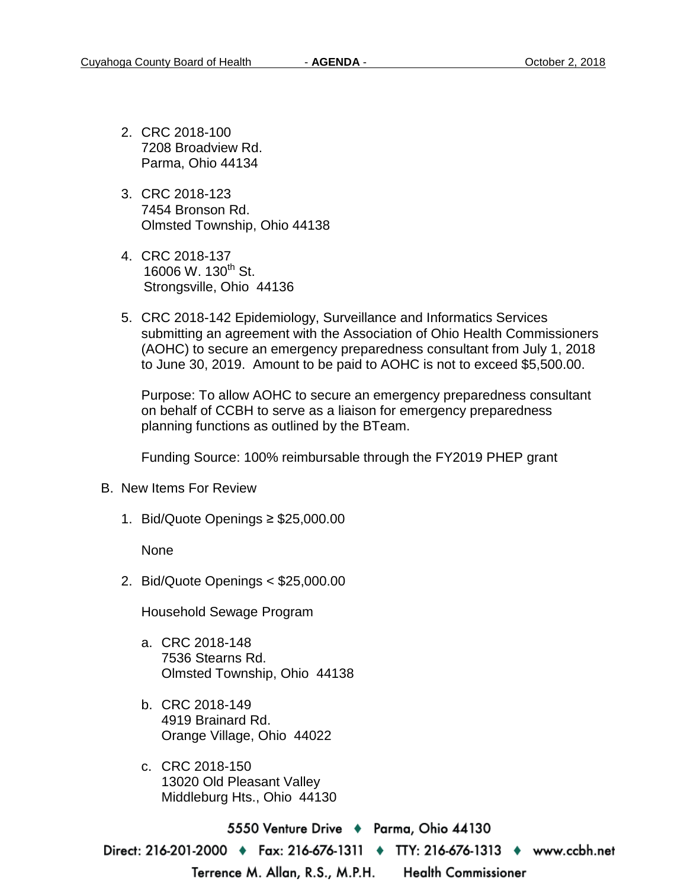- 2. CRC 2018-100 7208 Broadview Rd. Parma, Ohio 44134
- 3. CRC 2018-123 7454 Bronson Rd. Olmsted Township, Ohio 44138
- 4. CRC 2018-137 16006 W. 130<sup>th</sup> St. Strongsville, Ohio 44136
- 5. CRC 2018-142 Epidemiology, Surveillance and Informatics Services submitting an agreement with the Association of Ohio Health Commissioners (AOHC) to secure an emergency preparedness consultant from July 1, 2018 to June 30, 2019. Amount to be paid to AOHC is not to exceed \$5,500.00.

Purpose: To allow AOHC to secure an emergency preparedness consultant on behalf of CCBH to serve as a liaison for emergency preparedness planning functions as outlined by the BTeam.

Funding Source: 100% reimbursable through the FY2019 PHEP grant

- B. New Items For Review
	- 1. Bid/Quote Openings ≥ \$25,000.00

None

2. Bid/Quote Openings < \$25,000.00

Household Sewage Program

- a. CRC 2018-148 7536 Stearns Rd. Olmsted Township, Ohio 44138
- b. CRC 2018-149 4919 Brainard Rd. Orange Village, Ohio 44022
- c. CRC 2018-150 13020 Old Pleasant Valley Middleburg Hts., Ohio 44130

5550 Venture Drive → Parma, Ohio 44130 Direct: 216-201-2000 ♦ Fax: 216-676-1311 ♦ TTY: 216-676-1313 ♦ www.ccbh.net Terrence M. Allan, R.S., M.P.H. **Health Commissioner**